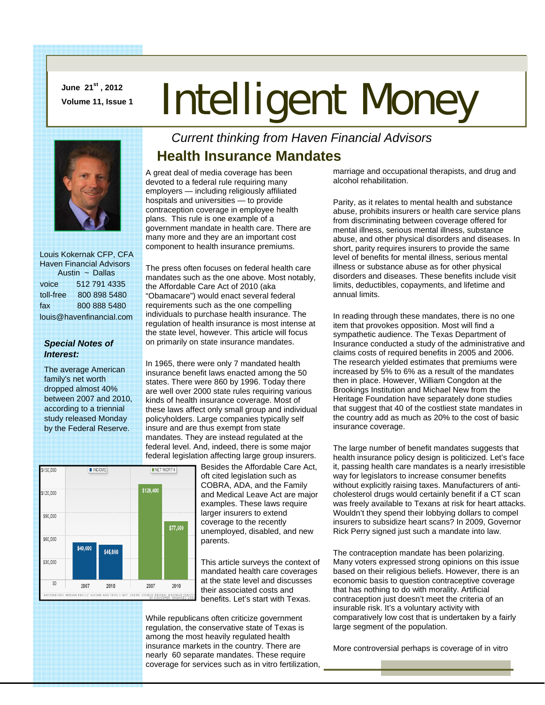**June 21st , 2012** 

# **June 21<sup>st</sup>, 2012**<br>Volume 11, Issue 1 **Intelligent Money**



 Louis Kokernak CFP, CFA Haven Financial Advisors Austin ~ Dallas voice 512 791 4335 toll-free 800 898 5480 fax 800 888 5480 louis@havenfinancial.com

#### *Special Notes of Interest:*

The average American family's net worth dropped almost 40% between 2007 and 2010, according to a triennial study released Monday by the Federal Reserve.

#### *Current thinking from Haven Financial Advisors*  **Health Insurance Mandates**

A great deal of media coverage has been devoted to a federal rule requiring many employers — including religiously affiliated hospitals and universities — to provide contraception coverage in employee health plans. This rule is one example of a government mandate in health care. There are many more and they are an important cost component to health insurance premiums.

The press often focuses on federal health care mandates such as the one above. Most notably, the Affordable Care Act of 2010 (aka "Obamacare") would enact several federal requirements such as the one compelling individuals to purchase health insurance. The regulation of health insurance is most intense at the state level, however. This article will focus on primarily on state insurance mandates.

In 1965, there were only 7 mandated health insurance benefit laws enacted among the 50 states. There were 860 by 1996. Today there are well over 2000 state rules requiring various kinds of health insurance coverage. Most of these laws affect only small group and individual policyholders. Large companies typically self insure and are thus exempt from state mandates. They are instead regulated at the federal level. And, indeed, there is some major federal legislation affecting large group insurers.



Besides the Affordable Care Act, oft cited legislation such as COBRA, ADA, and the Family and Medical Leave Act are major examples. These laws require larger insurers to extend coverage to the recently unemployed, disabled, and new parents.

This article surveys the context of mandated health care coverages at the state level and discusses their associated costs and benefits. Let's start with Texas.

While republicans often criticize government regulation, the conservative state of Texas is among the most heavily regulated health insurance markets in the country. There are nearly 60 separate mandates. These require coverage for services such as in vitro fertilization,

marriage and occupational therapists, and drug and alcohol rehabilitation.

Parity, as it relates to mental health and substance abuse, prohibits insurers or health care service plans from discriminating between coverage offered for mental illness, serious mental illness, substance abuse, and other physical disorders and diseases. In short, parity requires insurers to provide the same level of benefits for mental illness, serious mental illness or substance abuse as for other physical disorders and diseases. These benefits include visit limits, deductibles, copayments, and lifetime and annual limits.

In reading through these mandates, there is no one item that provokes opposition. Most will find a sympathetic audience. The Texas Department of Insurance conducted a study of the administrative and claims costs of required benefits in 2005 and 2006. The research yielded estimates that premiums were increased by 5% to 6% as a result of the mandates then in place. However, William Congdon at the Brookings Institution and Michael New from the Heritage Foundation have separately done studies that suggest that 40 of the costliest state mandates in the country add as much as 20% to the cost of basic insurance coverage.

The large number of benefit mandates suggests that health insurance policy design is politicized. Let's face it, passing health care mandates is a nearly irresistible way for legislators to increase consumer benefits without explicitly raising taxes. Manufacturers of anticholesterol drugs would certainly benefit if a CT scan was freely available to Texans at risk for heart attacks. Wouldn't they spend their lobbying dollars to compel insurers to subsidize heart scans? In 2009, Governor Rick Perry signed just such a mandate into law.

The contraception mandate has been polarizing. Many voters expressed strong opinions on this issue based on their religious beliefs. However, there is an economic basis to question contraceptive coverage that has nothing to do with morality. Artificial contraception just doesn't meet the criteria of an insurable risk. It's a voluntary activity with comparatively low cost that is undertaken by a fairly large segment of the population.

More controversial perhaps is coverage of in vitro